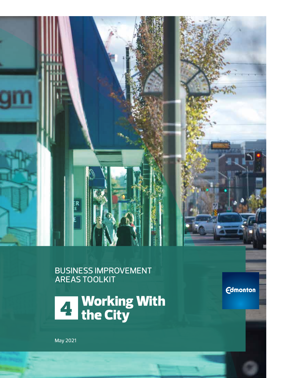

BUSINESS IMPROVEMENT AREAS TOOLKIT

**71 Working With<br><del>Ea</del>l the City** 

**Edmonton** 

May 2021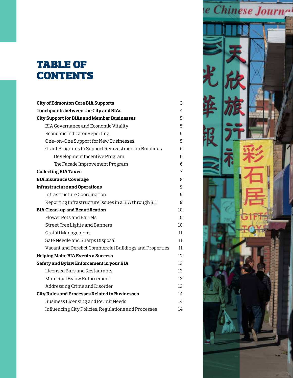# table of **CONTENTS**

| <b>City of Edmonton Core BIA Supports</b>               |    |
|---------------------------------------------------------|----|
| Touchpoints between the City and BIAs                   |    |
| <b>City Support for BIAs and Member Businesses</b>      | 5  |
| BIA Governance and Economic Vitality                    | 5  |
| Economic Indicator Reporting                            | 5  |
| One-on-One Support for New Businesses                   | 5  |
| Grant Programs to Support Reinvestment in Buildings     | 6  |
| Development Incentive Program                           | 6  |
| The Facade Improvement Program                          | 6  |
| <b>Collecting BIA Taxes</b>                             | 7  |
| <b>BIA Insurance Coverage</b>                           | 8  |
| <b>Infrastructure and Operations</b>                    | 9  |
| Infrastructure Coordination                             | 9  |
| Reporting Infrastructure Issues in a BIA through 311    | 9  |
| <b>BIA Clean-up and Beautification</b>                  |    |
| <b>Flower Pots and Barrels</b>                          | 10 |
| Street Tree Lights and Banners                          | 10 |
| Graffiti Management                                     | 11 |
| Safe Needle and Sharps Disposal                         | 11 |
| Vacant and Derelict Commercial Buildings and Properties | 11 |
| <b>Helping Make BIA Events a Success</b>                | 12 |
| Safety and Bylaw Enforcement in your BIA                | 13 |
| Licensed Bars and Restaurants                           | 13 |
| Municipal Bylaw Enforcement                             | 13 |
| Addressing Crime and Disorder                           | 13 |
| <b>City Rules and Processes Related to Businesses</b>   | 14 |
| Business Licensing and Permit Needs                     | 14 |
| Influencing City Policies, Regulations and Processes    | 14 |

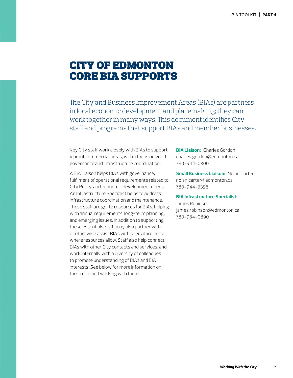# city of edmonton core bia supports

The City and Business Improvement Areas (BIAs) are partners in local economic development and placemaking; they can work together in many ways. This document identifies City staff and programs that support BIAs and member businesses.

Key City staff work closely with BIAs to support vibrant commercial areas, with a focus on good governance and infrastructure coordination.

A BIA Liaison helps BIAs with governance, fulfilment of operational requirements related to City Policy, and economic development needs. An Infrastructure Specialist helps to address infrastructure coordination and maintenance. These staff are go-to resources for BIAs, helping with annual requirements, long-term planning, and emerging issues. In addition to supporting these essentials, staff may also partner with or otherwise assist BIAs with special projects where resources allow. Staff also help connect BIAs with other City contacts and services, and work internally with a diversity of colleagues to promote understanding of BIAs and BIA interests. See below for more information on their roles and working with them.

**BIA Liaison:** Charles Gordon charles.gordon@edmonton.ca 780-944-0300

**Small Business Liaison:** Nolan Carter nolan.carter@edmonton.ca 780-944-5396

#### **BIA Infrastructure Specialist:**

James Robinson james.robinson@edmonton.ca 780-984-0890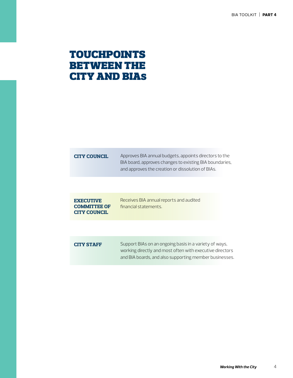# **TOUCHPOINTS** between the **CITY AND BIAS**

| <b>CITY COUNCIL</b>                                           | Approves BIA annual budgets, appoints directors to the<br>BIA board, approves changes to existing BIA boundaries,<br>and approves the creation or dissolution of BIAs.       |
|---------------------------------------------------------------|------------------------------------------------------------------------------------------------------------------------------------------------------------------------------|
|                                                               |                                                                                                                                                                              |
| ▍▆▞▟▗▛▆▌▋▊▊▙▚▍▆<br><b>COMMITTEE OF</b><br><b>CITY COUNCIL</b> | Receives BIA annual reports and audited<br>financial statements.                                                                                                             |
|                                                               |                                                                                                                                                                              |
| <b>CITY STAFF</b>                                             | Support BIAs on an ongoing basis in a variety of ways,<br>working directly and most often with executive directors<br>and BIA boards, and also supporting member businesses. |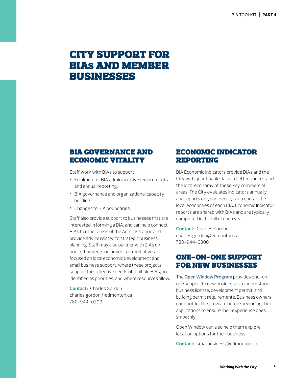## city support for bias and member businesses

#### bia governance and economic vitality

Staff work with BIAs to support:

- **•** Fulfilment of BIA administrative requirements and annual reporting.
- **•** BIA governance and organizational capacity building.
- **•** Changes to BIA boundaries.

Staff also provide support to businesses that are interested in forming a BIA, and can help connect BIAs to other areas of the Administration and provide advice related to strategic business planning. Staff may also partner with BIAs on one-off projects or longer-term initiatives focused on local economic development and small business support, where these projects support the collective needs of multiple BIAs, are identified as priorities, and where resources allow.

**Contact:** Charles Gordon charles.gordon@edmonton.ca 780-944-0300

#### economic indicator reporting

BIA Economic Indicators provide BIAs and the City with quantifiable data to better understand the local economy of these key commercial areas. The City evaluates indicators annually and reports on year-over-year trends in the local economies of each BIA. Economic Indicator reports are shared with BIAs and are typically completed in the fall of each year.

**Contact:** Charles Gordon charles.gordon@edmonton.ca 780-944-0300

#### one-on-one support for new businesses

The **[Open Window Program](https://www.edmonton.ca/business_economy/business_resources/business-support-services.aspx)** provides one-onone support to new businesses to understand business license, development permit, and building permit requirements. Business owners can contact the program before beginning their applications to ensure their experience goes smoothly.

Open Window can also help them explore location options for their business.

**Contact:** smallbusiness@edmonton.ca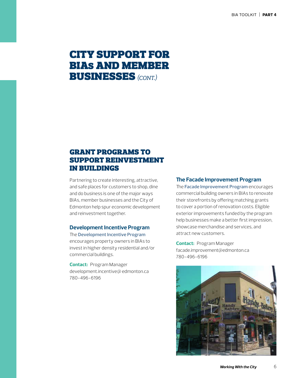# city support for bias and member businesses*(cont.)*

### grant programs to support reinvestment in buildings

Partnering to create interesting, attractive, and safe places for customers to shop, dine and do business is one of the major ways BIAs, member businesses and the City of Edmonton help spur economic development and reinvestment together.

#### **Development Incentive Program**

The **[Development Incentive Program](https://www.edmonton.ca/programs_services/documents/PDF/Development-Incentive-Program-Guide.pdf)** encourages property owners in BIAs to invest in higher density residential and/or commercial buildings.

**Contact:** Program Manager development.incentive@ edmonton.ca 780-496-6196

#### **The Facade Improvement Program**

The **[Facade Improvement Program](https://www.edmonton.ca/business_economy/business_resources/facade-storefront-improvement-program.aspx)** encourages commercial building owners in BIAs to renovate their storefronts by offering matching grants to cover a portion of renovation costs. Eligible exterior improvements funded by the program help businesses make a better first impression, showcase merchandise and services, and attract new customers.

**Contact:** Program Manager facade.improvement@edmonton.ca 780-496-6196

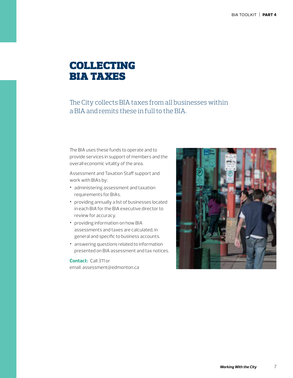# **COLLECTING** bia taxes

The City collects BIA taxes from all businesses within a BIA and remits these in full to the BIA.

The BIA uses these funds to operate and to provide services in support of members and the overall economic vitality of the area.

Assessment and Taxation Staff support and work with BIAs by:

- **•** administering assessment and taxation requirements for BIAs.
- **•** providing annually a list of businesses located in each BIA for the BIA executive director to review for accuracy.
- **•** providing information on how BIA assessments and taxes are calculated, in general and specific to business accounts.
- **•** answering questions related to information presented on BIA assessment and tax notices.

#### **Contact:** Call 311 or

email: assessment@edmonton.ca

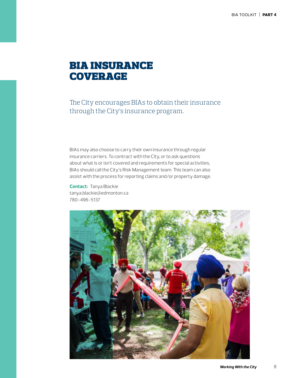## bia insurance **COVERAGE**

The City encourages BIAs to obtain their insurance through the City's insurance program.

BIAs may also choose to carry their own insurance through regular insurance carriers. To contract with the City, or to ask questions about what is or isn't covered and requirements for special activities, BIAs should call the City's Risk Management team. This team can also assist with the process for reporting claims and/or property damage.

**Contact:** Tanya Blackie tanya.blackie@edmonton.ca 780-496-5137

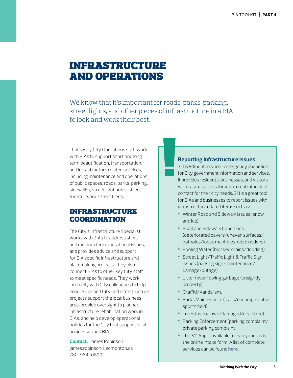# infrastructure and operations

We know that it's important for roads, parks, parking, street lights, and other pieces of infrastructure in a BIA to look and work their best.

That's why City Operations staff work with BIAs to support short and long term beautification, transportation, and infrastructure related services, including maintenance and operations of public spaces, roads, parks, parking, sidewalks, street light poles, street furniture, and street trees.

## infrastructure coordination

The City's Infrastructure Specialist works with BIAs to address short and medium term operational issues, and provides advice and support for BIA specific infrastructure and placemaking projects. They also connect BIAs to other key City staff to meet specific needs. They work internally with City colleagues to help ensure planned City-led infrastructure projects support the local business area, provide oversight to planned infrastructure rehabilitation work in BIAs, and help develop operational policies for the City that support local businesses and BIAs.

**Contact:** James Robinson james.robinson@edmonton.ca 780-984-0890

#### **Reporting Infrastructure Issues**

311 is Edmonton's non-emergency phone line for City government information and services. It provides residents, businesses, and visitors with ease of access through a central point of contact for their city needs. 311 is a great tool for BIAs and businesses to report issues with infrastructure related items such as:

- **•** Winter Road and Sidewalk Issues (snow and ice).
- **•** Road and Sidewalk Conditions (deteriorated pavers/uneven surfaces/ potholes/loose manholes, obstructions).
- **•** Pooling Water (blocked drains/flooding).
- **•** Street Light/Traffic Light & Traffic Sign Issues (parking sign/maintenance/ damage/outage).
- **•** Litter (overflowing garbage/unsightly property).
- **•** Graffiti/Vandalism.
- **•** Parks Maintenance (trails/encampments/ sports field).
- **•** Trees (overgrown/damaged/dead tree).
- **•** Parking Enforcement (parking complaint/ private parking complaint).
- **•** The 311 App is available to everyone, as is the online intake form. A list of complete services can be found **[here](http://311.edmonton.ca/reports/list_services)**.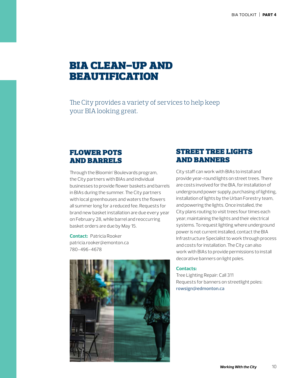# bia clean-up and **BEAUTIFICATION**

The City provides a variety of services to help keep your BIA looking great.

### flower pots and barrels

Through the Bloomin' Boulevards program, the City partners with BIAs and individual businesses to provide flower baskets and barrels in BIAs during the summer. The City partners with local greenhouses and waters the flowers all summer long for a reduced fee. Requests for brand new basket installation are due every year on February 28, while barrel and reoccurring basket orders are due by May 15.

**Contact:** Patricia Rooker patricia.rooker@emonton.ca 780-496-4678



### street tree lights and banners

City staff can work with BIAs to install and provide year-round lights on street trees. There are costs involved for the BIA, for installation of underground power supply, purchasing of lighting, installation of lights by the Urban Forestry team, and powering the lights. Once installed, the City plans routing to visit trees four times each year; maintaining the lights and their electrical systems. To request lighting where underground power is not current installed, contact the BIA Infrastructure Specialist to work through process and costs for installation. The City can also work with BIAs to provide permissions to install decorative banners on light poles.

#### **Contacts:**

Tree Lighting Repair: Call 311 Requests for banners on streetlight poles: **[rowsign@edmonton.ca](mailto:rowsign%40edmonton.ca?subject=Banners%20on%20streetlight%20poles)**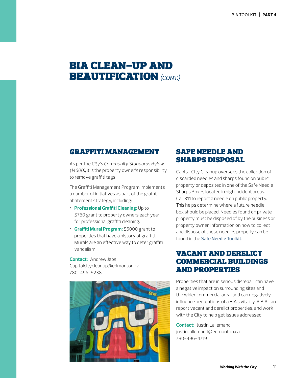# bia clean-up and **BEAUTIFICATION** (CONT.)

#### graffiti management

As per the *City's Community Standards Bylaw (14600),* it is the property owner's responsibility to remove graffiti tags.

The Graffiti Management Program implements a number of initiatives as part of the graffiti abatement strategy, including:

- **• Professional Graffiti Cleaning:** Up to \$750 grant to property owners each year for professional graffiti cleaning.
- **• Graffiti Mural Program:** \$5000 grant to properties that have a history of graffiti. Murals are an effective way to deter graffiti vandalism.

**Contact:** Andrew Jabs Capitalcitycleanup@edmonton.ca 780-496-5238



### safe needle and sharps disposal

Capital City Cleanup oversees the collection of discarded needles and sharps found on public property or deposited in one of the Safe Needle Sharps Boxes located in high incident areas. Call 311 to report a needle on public property. This helps determine where a future needle box should be placed. Needles found on private property must be disposed of by the business or property owner. Information on how to collect and dispose of these needles properly can be found in the **[Safe Needle Toolkit](https://www.edmonton.ca/programs_services/graffiti_litter/safe-needle-disposal.aspx)**.

### vacant and derelict commercial buildings and properties

Properties that are in serious disrepair can have a negative impact on surrounding sites and the wider commercial area, and can negatively influence perceptions of a BIA's vitality. A BIA can report vacant and derelict properties, and work with the City to help get issues addressed.

**Contact:** Justin Lallemand justin.lallemand@edmonton.ca 780-496-4719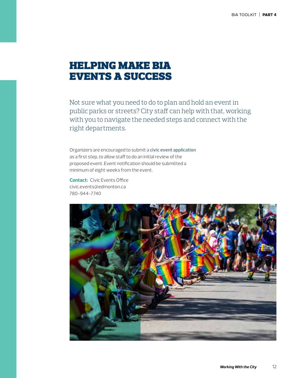# helping make bia events a success

Not sure what you need to do to plan and hold an event in public parks or streets? City staff can help with that, working with you to navigate the needed steps and connect with the right departments.

Organizers are encouraged to submit a **[civic event application](https://www.edmonton.ca/attractions_events/rentals_event_planning/event-application.aspx)** as a first step, to allow staff to do an initial review of the proposed event. Event notification should be submitted a minimum of eight weeks from the event.

**Contact:** Civic Events Office civic.events@edmonton.ca 780-944-7740

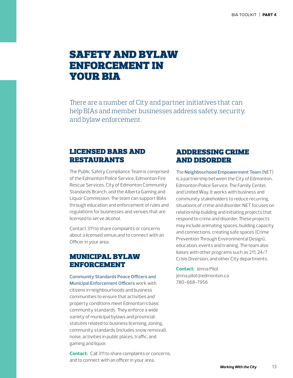# safety and bylaw enforcement in your bia

There are a number of City and partner initiatives that can help BIAs and member businesses address safety, security, and bylaw enforcement.

#### licensed bars and restaurants

The Public Safety Compliance Team is comprised of the Edmonton Police Service, Edmonton Fire Rescue Services, City of Edmonton Community Standards Branch, and the Alberta Gaming and Liquor Commission. The team can support BIAs through education and enforcement of rules and regulations for businesses and venues that are licensed to serve alcohol.

Contact 311 to share complaints or concerns about a licensed venue,and to connect with an Officer in your area.

#### municipal bylaw enforcement

**[Community Standards Peace Officers and](https://www.edmonton.ca/programs_services/service-general-bylaw-enforcement-services.aspx)  [Municipal Enforcement Officers](https://www.edmonton.ca/programs_services/service-general-bylaw-enforcement-services.aspx)** work with citizens in neighbourhoods and business communities to ensure that activities and property conditions meet Edmonton's basic community standards. They enforce a wide variety of municipal bylaws and provincial statutes related to: business licensing, zoning, community standards (includes snow removal), noise, activities in public places, traffic, and gaming and liquor.

**Contact:** Call 311 to share complaints or concerns, and to connect with an officer in your area.

### addressing crime and disorder

The **[Neighbourhood Empowerment Team](https://www.edmonton.ca/residential_neighbourhoods/fire_safety/neighbourhood-empowerment-team.aspx)** (NET) is a partnership between the City of Edmonton, Edmonton Police Service, The Family Center, and United Way. It works with business and community stakeholders to reduce recurring situations of crime and disorder. NET focuses on relationship building and initiating projects that respond to crime and disorder. These projects may include animating spaces, building capacity and connections, creating safe spaces (Crime Prevention Through Environmental Design), education, events and training. The team also liaises with other programs such as 211, 24/7 Crisis Diversion, and other City departments.

**Contact:** Jenna Pilot jenna.pilot@edmonton.ca 780-668-7956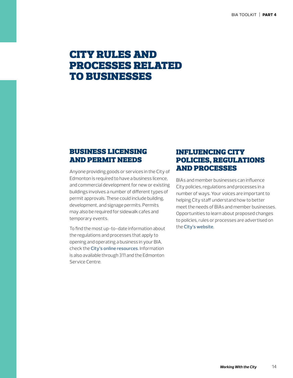# city rules and processes related to businesses

#### business licensing and permit needs

Anyone providing goods or services in the City of Edmonton is required to have a business licence, and commercial development for new or existing buildings involves a number of different types of permit approvals. These could include building, development, and signage permits. Permits may also be required for sidewalk cafes and temporary events.

To find the most up-to-date information about the regulations and processes that apply to opening and operating a business in your BIA, check the **[City's online resources](https://www.edmonton.ca/business_economy/licences_permits/business-and-commercial.aspx)**. Information is also available through 311 and the Edmonton Service Centre.

## influencing city policies, regulations and processes

BIAs and member businesses can influence City policies, regulations and processes in a number of ways. Your voices are important to helping City staff understand how to better meet the needs of BIAs and member businesses. Opportunities to learn about proposed changes to policies, rules or processes are advertised on the **[City's website](https://www.edmonton.ca/programs_services/public_engagement/public-engagement-calendar.aspx)**.